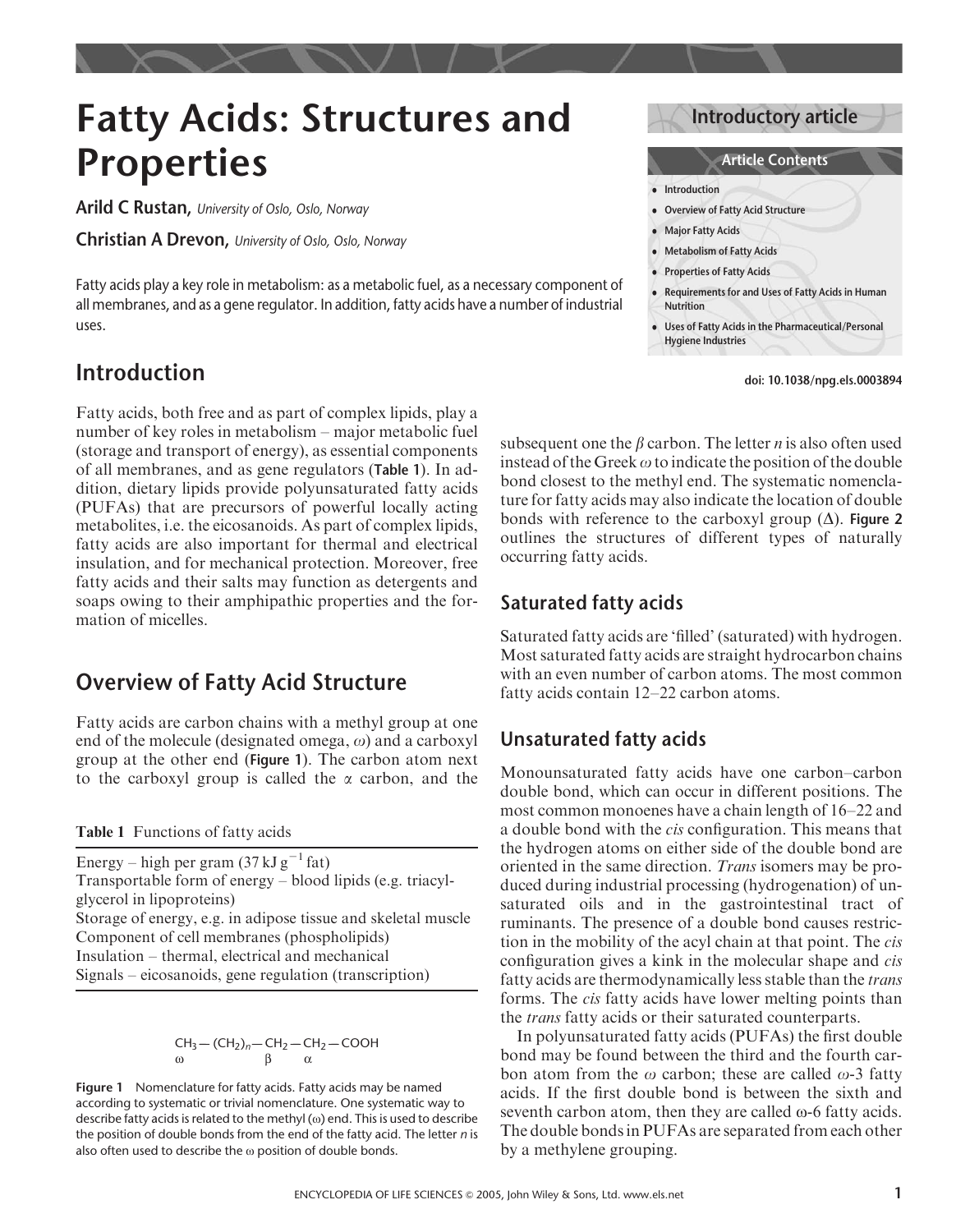# Fatty Acids: Structures and Properties

Arild C Rustan, University of Oslo, Oslo, Norway

Christian A Drevon, University of Oslo, Oslo, Norway

Fatty acids play a key role in metabolism: as a metabolic fuel, as a necessary component of all membranes, and as a gene regulator. In addition, fatty acids have a number of industrial uses.

# Introduction

Fatty acids, both free and as part of complex lipids, play a number of key roles in metabolism – major metabolic fuel (storage and transport of energy), as essential components of all membranes, and as gene regulators (Table 1). In addition, dietary lipids provide polyunsaturated fatty acids (PUFAs) that are precursors of powerful locally acting metabolites, i.e. the eicosanoids. As part of complex lipids, fatty acids are also important for thermal and electrical insulation, and for mechanical protection. Moreover, free fatty acids and their salts may function as detergents and soaps owing to their amphipathic properties and the formation of micelles.

# Overview of Fatty Acid Structure

Fatty acids are carbon chains with a methyl group at one end of the molecule (designated omega,  $\omega$ ) and a carboxyl group at the other end (Figure 1). The carbon atom next to the carboxyl group is called the  $\alpha$  carbon, and the

|  | <b>Table 1</b> Functions of fatty acids |  |  |
|--|-----------------------------------------|--|--|
|--|-----------------------------------------|--|--|

Energy – high per gram  $(37 \text{ kJ g}^{-1} \text{fat})$ Transportable form of energy – blood lipids (e.g. triacylglycerol in lipoproteins) Storage of energy, e.g. in adipose tissue and skeletal muscle Component of cell membranes (phospholipids) Insulation – thermal, electrical and mechanical Signals – eicosanoids, gene regulation (transcription)

$$
CH3 - (CH2)n - CH2 - CH2 - COOH
$$
  
\n
$$
\beta \qquad \alpha
$$

Figure 1 Nomenclature for fatty acids. Fatty acids may be named according to systematic or trivial nomenclature. One systematic way to describe fatty acids is related to the methyl ( $\omega$ ) end. This is used to describe the position of double bonds from the end of the fatty acid. The letter  $n$  is also often used to describe the  $\omega$  position of double bonds.

### Introductory article

#### Article Contents

- **.** Introduction
- . Overview of Fatty Acid Structure
- . Major Fatty Acids
- . Metabolism of Fatty Acids
- . Properties of Fatty Acids
- . Requirements for and Uses of Fatty Acids in Human Nutrition
- . Uses of Fatty Acids in the Pharmaceutical/Personal Hygiene Industries

doi: 10.1038/npg.els.0003894

subsequent one the  $\beta$  carbon. The letter *n* is also often used instead of the Greek  $\omega$  to indicate the position of the double bond closest to the methyl end. The systematic nomenclature for fatty acids may also indicate the location of double bonds with reference to the carboxyl group  $(\Delta)$ . Figure 2 outlines the structures of different types of naturally occurring fatty acids.

### Saturated fatty acids

Saturated fatty acids are 'filled' (saturated) with hydrogen. Most saturated fatty acids are straight hydrocarbon chains with an even number of carbon atoms. The most common fatty acids contain 12–22 carbon atoms.

### Unsaturated fatty acids

Monounsaturated fatty acids have one carbon–carbon double bond, which can occur in different positions. The most common monoenes have a chain length of 16–22 and a double bond with the cis configuration. This means that the hydrogen atoms on either side of the double bond are oriented in the same direction. Trans isomers may be produced during industrial processing (hydrogenation) of unsaturated oils and in the gastrointestinal tract of ruminants. The presence of a double bond causes restriction in the mobility of the acyl chain at that point. The cis configuration gives a kink in the molecular shape and cis fatty acids are thermodynamically less stable than the trans forms. The cis fatty acids have lower melting points than the trans fatty acids or their saturated counterparts.

In polyunsaturated fatty acids (PUFAs) the first double bond may be found between the third and the fourth carbon atom from the  $\omega$  carbon; these are called  $\omega$ -3 fatty acids. If the first double bond is between the sixth and seventh carbon atom, then they are called  $\omega$ -6 fatty acids. The double bonds in PUFAs are separated from each other by a methylene grouping.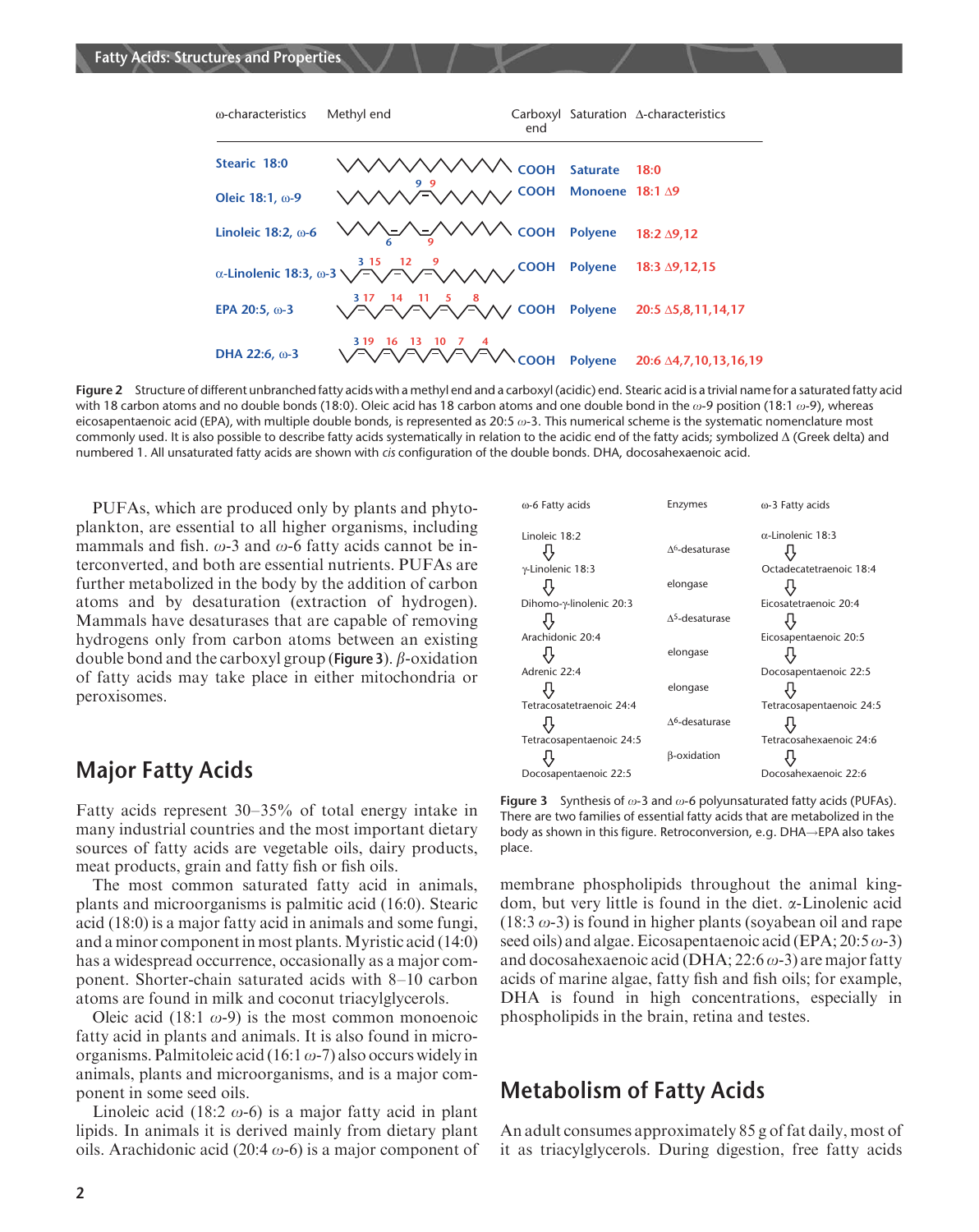

Figure 2 Structure of different unbranched fatty acids with a methyl end and a carboxyl (acidic) end. Stearic acid is a trivial name for a saturated fatty acid with 18 carbon atoms and no double bonds (18:0). Oleic acid has 18 carbon atoms and one double bond in the  $\omega$ -9 position (18:1  $\omega$ -9), whereas eicosapentaenoic acid (EPA), with multiple double bonds, is represented as 20:5  $\omega$ -3. This numerical scheme is the systematic nomenclature most commonly used. It is also possible to describe fatty acids systematically in relation to the acidic end of the fatty acids; symbolized  $\Delta$  (Greek delta) and numbered 1. All unsaturated fatty acids are shown with cis configuration of the double bonds. DHA, docosahexaenoic acid.

PUFAs, which are produced only by plants and phytoplankton, are essential to all higher organisms, including mammals and fish.  $\omega$ -3 and  $\omega$ -6 fatty acids cannot be interconverted, and both are essential nutrients. PUFAs are further metabolized in the body by the addition of carbon atoms and by desaturation (extraction of hydrogen). Mammals have desaturases that are capable of removing hydrogens only from carbon atoms between an existing double bond and the carboxyl group (Figure 3).  $\beta$ -oxidation of fatty acids may take place in either mitochondria or peroxisomes.

# Major Fatty Acids

Fatty acids represent 30–35% of total energy intake in many industrial countries and the most important dietary sources of fatty acids are vegetable oils, dairy products, meat products, grain and fatty fish or fish oils.

The most common saturated fatty acid in animals, plants and microorganisms is palmitic acid (16:0). Stearic acid (18:0) is a major fatty acid in animals and some fungi, and a minor component in most plants.Myristic acid (14:0) has a widespread occurrence, occasionally as a major component. Shorter-chain saturated acids with 8–10 carbon atoms are found in milk and coconut triacylglycerols.

Oleic acid (18:1  $\omega$ -9) is the most common monoenoic fatty acid in plants and animals. It is also found in microorganisms. Palmitoleic acid (16:1  $\omega$ -7) also occurs widely in animals, plants and microorganisms, and is a major component in some seed oils.

Linoleic acid (18:2  $\omega$ -6) is a major fatty acid in plant lipids. In animals it is derived mainly from dietary plant oils. Arachidonic acid (20:4  $\omega$ -6) is a major component of



Figure 3 Synthesis of  $\omega$ -3 and  $\omega$ -6 polyunsaturated fatty acids (PUFAs). There are two families of essential fatty acids that are metabolized in the body as shown in this figure. Retroconversion, e.g. DHA-EPA also takes place.

membrane phospholipids throughout the animal kingdom, but very little is found in the diet.  $\alpha$ -Linolenic acid  $(18:3 \omega 3)$  is found in higher plants (soyabean oil and rape seed oils) and algae. Eicosapentaenoic acid (EPA;  $20:5 \omega - 3$ ) and docosahexaenoic acid (DHA;  $22:6\omega-3$ ) are major fatty acids of marine algae, fatty fish and fish oils; for example, DHA is found in high concentrations, especially in phospholipids in the brain, retina and testes.

# Metabolism of Fatty Acids

An adult consumes approximately 85 g of fat daily, most of it as triacylglycerols. During digestion, free fatty acids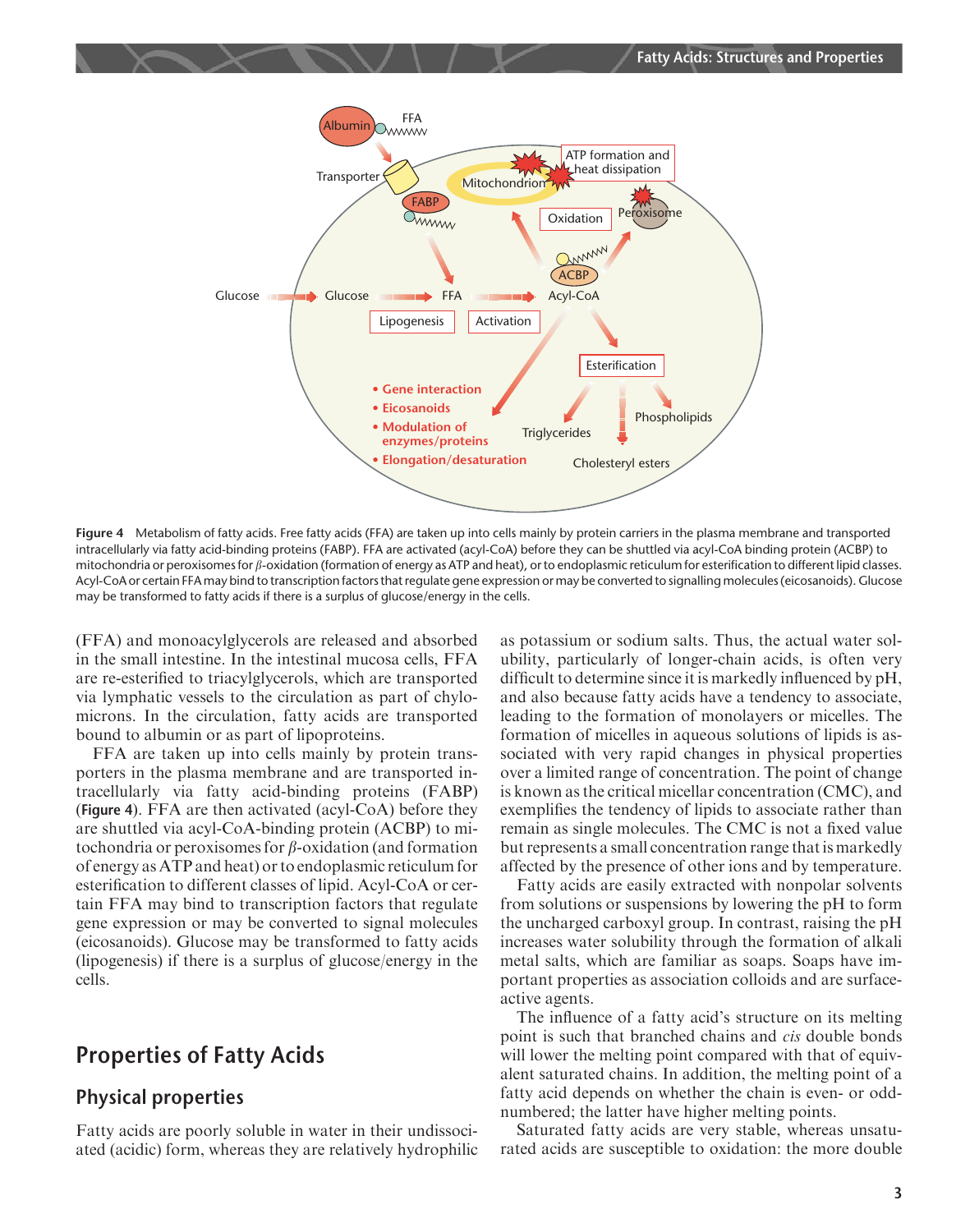

Figure 4 Metabolism of fatty acids. Free fatty acids (FFA) are taken up into cells mainly by protein carriers in the plasma membrane and transported intracellularly via fatty acid-binding proteins (FABP). FFA are activated (acyl-CoA) before they can be shuttled via acyl-CoA binding protein (ACBP) to mitochondria or peroxisomes for  $\beta$ -oxidation (formation of energy as ATP and heat), or to endoplasmic reticulum for esterification to different lipid classes. Acyl-CoA or certain FFA may bind to transcription factors that regulate gene expression or may be converted to signalling molecules (eicosanoids). Glucose may be transformed to fatty acids if there is a surplus of glucose/energy in the cells.

(FFA) and monoacylglycerols are released and absorbed in the small intestine. In the intestinal mucosa cells, FFA are re-esterified to triacylglycerols, which are transported via lymphatic vessels to the circulation as part of chylomicrons. In the circulation, fatty acids are transported bound to albumin or as part of lipoproteins.

FFA are taken up into cells mainly by protein transporters in the plasma membrane and are transported intracellularly via fatty acid-binding proteins (FABP) (Figure 4). FFA are then activated (acyl-CoA) before they are shuttled via acyl-CoA-binding protein (ACBP) to mitochondria or peroxisomes for  $\beta$ -oxidation (and formation of energy as ATP and heat) or to endoplasmic reticulum for esterification to different classes of lipid. Acyl-CoA or certain FFA may bind to transcription factors that regulate gene expression or may be converted to signal molecules (eicosanoids). Glucose may be transformed to fatty acids (lipogenesis) if there is a surplus of glucose/energy in the cells.

# Properties of Fatty Acids

## Physical properties

Fatty acids are poorly soluble in water in their undissociated (acidic) form, whereas they are relatively hydrophilic

as potassium or sodium salts. Thus, the actual water solubility, particularly of longer-chain acids, is often very difficult to determine since it is markedly influenced by pH, and also because fatty acids have a tendency to associate, leading to the formation of monolayers or micelles. The formation of micelles in aqueous solutions of lipids is associated with very rapid changes in physical properties over a limited range of concentration. The point of change is known as the critical micellar concentration (CMC), and exemplifies the tendency of lipids to associate rather than remain as single molecules. The CMC is not a fixed value but represents a small concentration range that is markedly affected by the presence of other ions and by temperature.

Fatty acids are easily extracted with nonpolar solvents from solutions or suspensions by lowering the pH to form the uncharged carboxyl group. In contrast, raising the pH increases water solubility through the formation of alkali metal salts, which are familiar as soaps. Soaps have important properties as association colloids and are surfaceactive agents.

The influence of a fatty acid's structure on its melting point is such that branched chains and cis double bonds will lower the melting point compared with that of equivalent saturated chains. In addition, the melting point of a fatty acid depends on whether the chain is even- or oddnumbered; the latter have higher melting points.

Saturated fatty acids are very stable, whereas unsaturated acids are susceptible to oxidation: the more double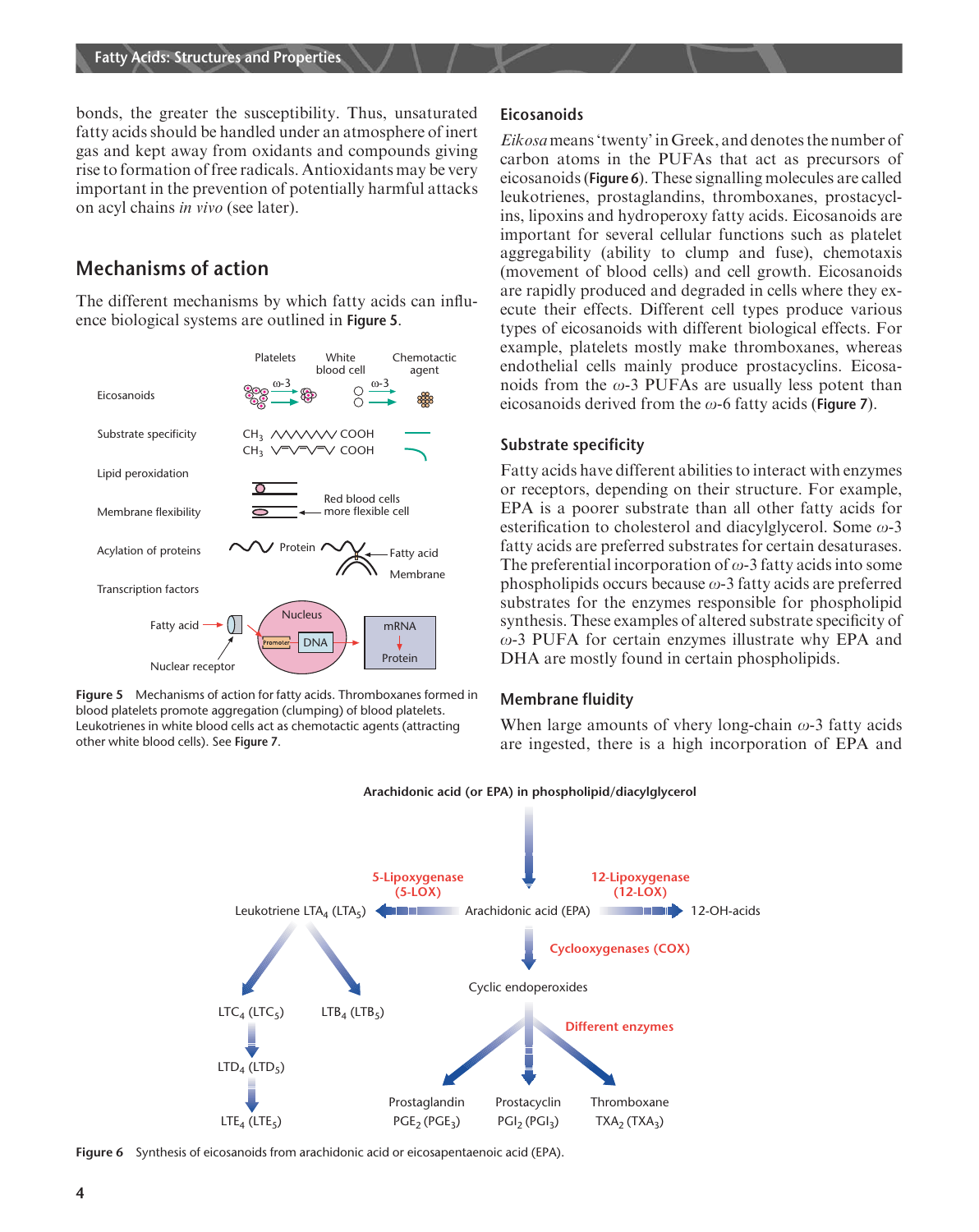bonds, the greater the susceptibility. Thus, unsaturated fatty acids should be handled under an atmosphere of inert gas and kept away from oxidants and compounds giving rise to formation of free radicals. Antioxidants may be very important in the prevention of potentially harmful attacks on acyl chains in vivo (see later).

### Mechanisms of action

The different mechanisms by which fatty acids can influence biological systems are outlined in Figure 5.



Figure 5 Mechanisms of action for fatty acids. Thromboxanes formed in blood platelets promote aggregation (clumping) of blood platelets. Leukotrienes in white blood cells act as chemotactic agents (attracting other white blood cells). See Figure 7.

#### Eicosanoids

Eikosa means 'twenty' in Greek, and denotes the number of carbon atoms in the PUFAs that act as precursors of eicosanoids (Figure 6). These signalling molecules are called leukotrienes, prostaglandins, thromboxanes, prostacyclins, lipoxins and hydroperoxy fatty acids. Eicosanoids are important for several cellular functions such as platelet aggregability (ability to clump and fuse), chemotaxis (movement of blood cells) and cell growth. Eicosanoids are rapidly produced and degraded in cells where they execute their effects. Different cell types produce various types of eicosanoids with different biological effects. For example, platelets mostly make thromboxanes, whereas endothelial cells mainly produce prostacyclins. Eicosanoids from the  $\omega$ -3 PUFAs are usually less potent than eicosanoids derived from the  $\omega$ -6 fatty acids (Figure 7).

#### Substrate specificity

Fatty acids have different abilities to interact with enzymes or receptors, depending on their structure. For example, EPA is a poorer substrate than all other fatty acids for esterification to cholesterol and diacylglycerol. Some  $\omega$ -3 fatty acids are preferred substrates for certain desaturases. The preferential incorporation of  $\omega$ -3 fatty acids into some phospholipids occurs because  $\omega$ -3 fatty acids are preferred substrates for the enzymes responsible for phospholipid synthesis. These examples of altered substrate specificity of  $\omega$ -3 PUFA for certain enzymes illustrate why EPA and DHA are mostly found in certain phospholipids.

#### Membrane fluidity

When large amounts of vhery long-chain  $\omega$ -3 fatty acids are ingested, there is a high incorporation of EPA and



**Arachidonic acid (or EPA) in phospholipid/diacylglycerol**

Figure 6 Synthesis of eicosanoids from arachidonic acid or eicosapentaenoic acid (EPA).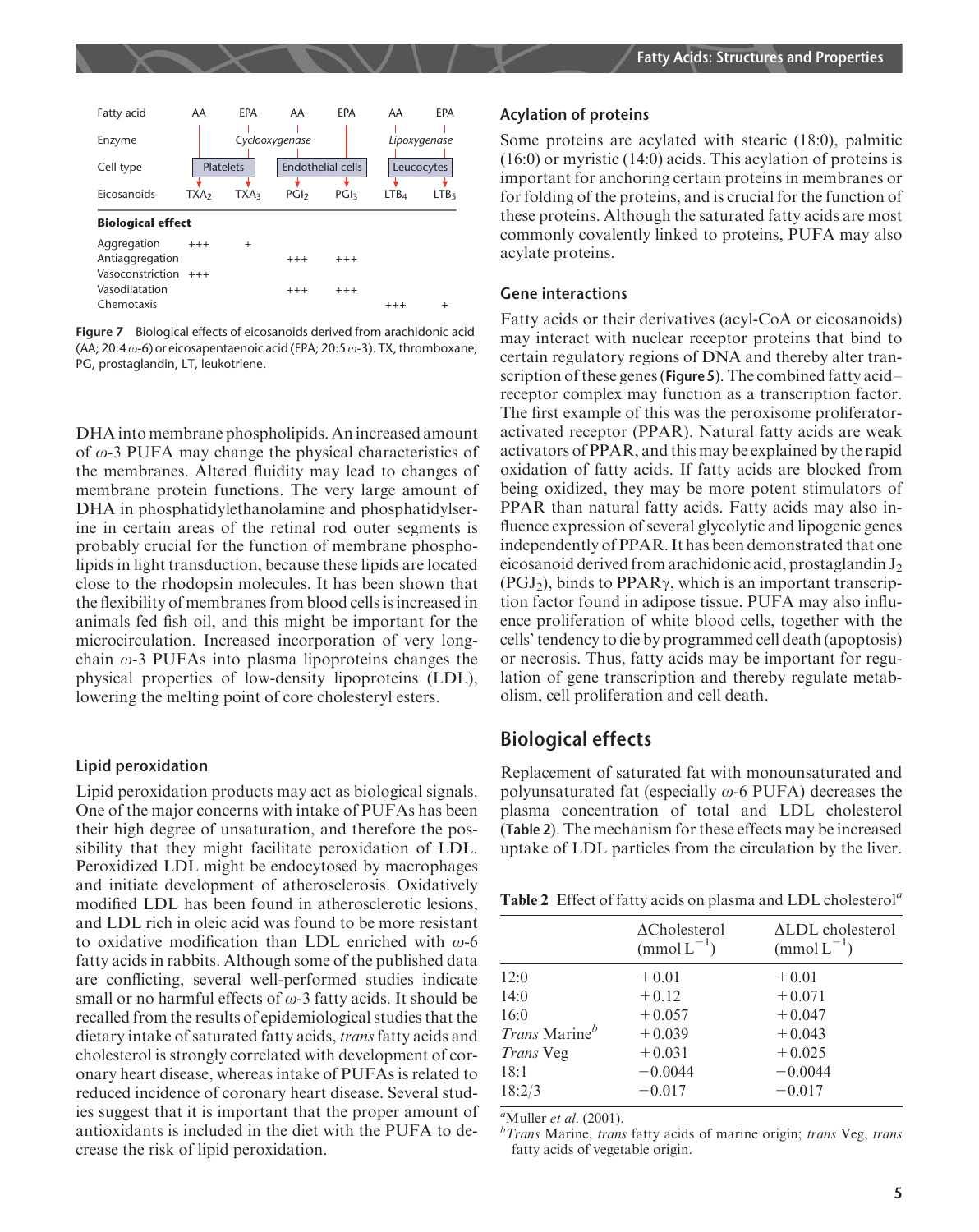| Fatty acid                                               | AA                       | EPA              | AA               | EPA               | AA               | EPA              |  |
|----------------------------------------------------------|--------------------------|------------------|------------------|-------------------|------------------|------------------|--|
| Enzyme                                                   |                          |                  | Cyclooxygenase   |                   |                  | Lipoxygenase     |  |
| Cell type                                                | <b>Platelets</b>         |                  |                  | Endothelial cells |                  | Leucocytes       |  |
| Eicosanoids                                              | TXA <sub>2</sub>         | TXA <sub>3</sub> | PGI <sub>2</sub> | PG <sub>l3</sub>  | LTB <sub>4</sub> | LTB <sub>5</sub> |  |
|                                                          | <b>Biological effect</b> |                  |                  |                   |                  |                  |  |
| Aggregation<br>Antiaggregation<br>$Vasoconstitution +++$ | $+++$                    | $+$              | $+++$            | $+++$             |                  |                  |  |
| Vasodilatation<br>Chemotaxis                             |                          |                  | $+++$            | $+++$             | $+++$            | $\ddot{}$        |  |

Figure 7 Biological effects of eicosanoids derived from arachidonic acid (AA; 20:4  $\omega$ -6) or eicosapentaenoic acid (EPA; 20:5  $\omega$ -3). TX, thromboxane; PG, prostaglandin, LT, leukotriene.

DHA into membrane phospholipids. An increased amount of  $\omega$ -3 PUFA may change the physical characteristics of the membranes. Altered fluidity may lead to changes of membrane protein functions. The very large amount of DHA in phosphatidylethanolamine and phosphatidylserine in certain areas of the retinal rod outer segments is probably crucial for the function of membrane phospholipids in light transduction, because these lipids are located close to the rhodopsin molecules. It has been shown that the flexibility of membranes from blood cells is increased in animals fed fish oil, and this might be important for the microcirculation. Increased incorporation of very longchain  $\omega$ -3 PUFAs into plasma lipoproteins changes the physical properties of low-density lipoproteins (LDL), lowering the melting point of core cholesteryl esters.

#### Lipid peroxidation

Lipid peroxidation products may act as biological signals. One of the major concerns with intake of PUFAs has been their high degree of unsaturation, and therefore the possibility that they might facilitate peroxidation of LDL. Peroxidized LDL might be endocytosed by macrophages and initiate development of atherosclerosis. Oxidatively modified LDL has been found in atherosclerotic lesions, and LDL rich in oleic acid was found to be more resistant to oxidative modification than LDL enriched with  $\omega$ -6 fatty acids in rabbits. Although some of the published data are conflicting, several well-performed studies indicate small or no harmful effects of  $\omega$ -3 fatty acids. It should be recalled from the results of epidemiological studies that the dietary intake of saturated fatty acids, transfatty acids and cholesterol is strongly correlated with development of coronary heart disease, whereas intake of PUFAs is related to reduced incidence of coronary heart disease. Several studies suggest that it is important that the proper amount of antioxidants is included in the diet with the PUFA to decrease the risk of lipid peroxidation.

#### Acylation of proteins

Some proteins are acylated with stearic (18:0), palmitic (16:0) or myristic (14:0) acids. This acylation of proteins is important for anchoring certain proteins in membranes or for folding of the proteins, and is crucial for the function of these proteins. Although the saturated fatty acids are most commonly covalently linked to proteins, PUFA may also acylate proteins.

#### Gene interactions

Fatty acids or their derivatives (acyl-CoA or eicosanoids) may interact with nuclear receptor proteins that bind to certain regulatory regions of DNA and thereby alter transcription of these genes (Figure 5). The combined fatty acid– receptor complex may function as a transcription factor. The first example of this was the peroxisome proliferatoractivated receptor (PPAR). Natural fatty acids are weak activators of PPAR, and this may be explained by the rapid oxidation of fatty acids. If fatty acids are blocked from being oxidized, they may be more potent stimulators of PPAR than natural fatty acids. Fatty acids may also influence expression of several glycolytic and lipogenic genes independently of PPAR. It has been demonstrated that one eicosanoid derived from arachidonic acid, prostaglandin  $J_2$  $(PGI<sub>2</sub>)$ , binds to PPAR $\gamma$ , which is an important transcription factor found in adipose tissue. PUFA may also influence proliferation of white blood cells, together with the cells' tendency to die by programmed cell death (apoptosis) or necrosis. Thus, fatty acids may be important for regulation of gene transcription and thereby regulate metabolism, cell proliferation and cell death.

### Biological effects

Replacement of saturated fat with monounsaturated and polyunsaturated fat (especially  $\omega$ -6 PUFA) decreases the plasma concentration of total and LDL cholesterol (Table 2). The mechanism for these effects may be increased uptake of LDL particles from the circulation by the liver.

Table 2 Effect of fatty acids on plasma and LDL cholesterol<sup> $a$ </sup>

|                                  | $\Delta$ Cholesterol<br>(mmol $L^{-1}$ ) | <b>ALDL</b> cholesterol<br>$\text{(mmol L}^{-1})$ |
|----------------------------------|------------------------------------------|---------------------------------------------------|
| 12:0                             | $+0.01$                                  | $+0.01$                                           |
| 14:0                             | $+0.12$                                  | $+0.071$                                          |
| 16:0                             | $+0.057$                                 | $+0.047$                                          |
| <i>Trans</i> Marine <sup>b</sup> | $+0.039$                                 | $+0.043$                                          |
| <i>Trans</i> Veg                 | $+0.031$                                 | $+0.025$                                          |
| 18:1                             | $-0.0044$                                | $-0.0044$                                         |
| 18:2/3                           | $-0.017$                                 | $-0.017$                                          |

<sup>a</sup>Muller *et al.* (2001).

 ${}^{b}Trans$  Marine, trans fatty acids of marine origin; trans Veg, trans fatty acids of vegetable origin.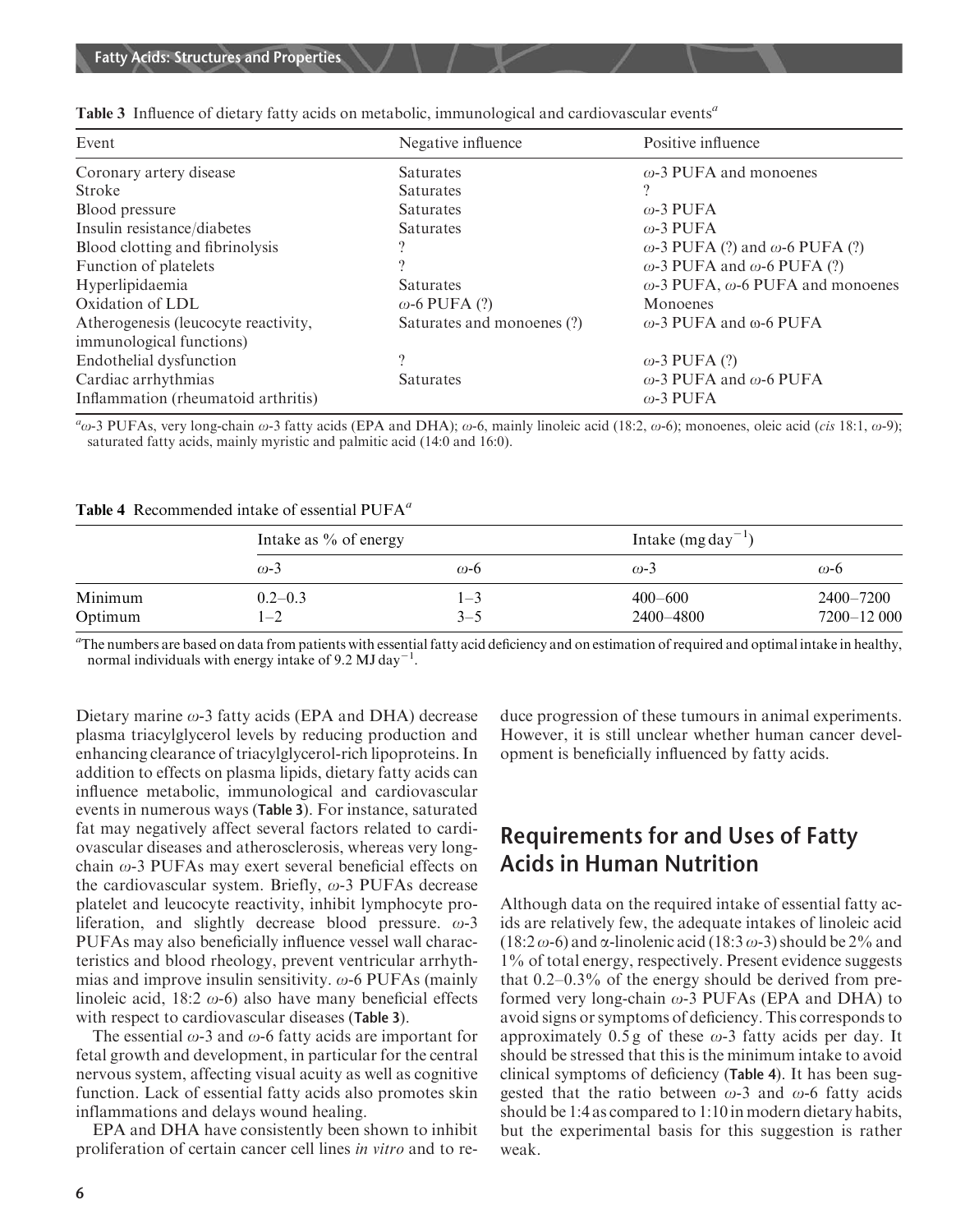| Event                                | Negative influence         | Positive influence                        |
|--------------------------------------|----------------------------|-------------------------------------------|
| Coronary artery disease              | <b>Saturates</b>           | $\omega$ -3 PUFA and monoenes             |
| Stroke                               | <b>Saturates</b>           | $\overline{\mathcal{L}}$                  |
| Blood pressure                       | <b>Saturates</b>           | $\omega$ -3 PUFA                          |
| Insulin resistance/diabetes          | <b>Saturates</b>           | $\omega$ -3 PUFA                          |
| Blood clotting and fibrinolysis      |                            | $ω$ -3 PUFA (?) and $ω$ -6 PUFA (?)       |
| Function of platelets                |                            | $\omega$ -3 PUFA and $\omega$ -6 PUFA (?) |
| Hyperlipidaemia                      | <b>Saturates</b>           | $ω$ -3 PUFA, $ω$ -6 PUFA and monoenes     |
| Oxidation of LDL                     | $\omega$ -6 PUFA (?)       | Monoenes                                  |
| Atherogenesis (leucocyte reactivity, | Saturates and monoenes (?) | $\omega$ -3 PUFA and $\omega$ -6 PUFA     |
| immunological functions)             |                            |                                           |
| Endothelial dysfunction              |                            | $\omega$ -3 PUFA $(?)$                    |
| Cardiac arrhythmias                  | Saturates                  | $\omega$ -3 PUFA and $\omega$ -6 PUFA     |
| Inflammation (rheumatoid arthritis)  |                            | $\omega$ -3 PUFA                          |

|  |  |  | Table 3 Influence of dietary fatty acids on metabolic, immunological and cardiovascular events <sup>a</sup> |  |
|--|--|--|-------------------------------------------------------------------------------------------------------------|--|
|  |  |  |                                                                                                             |  |

 $a_{\omega}$ -3 PUFAs, very long-chain  $\omega$ -3 fatty acids (EPA and DHA);  $\omega$ -6, mainly linoleic acid (18:2,  $\omega$ -6); monoenes, oleic acid (*cis* 18:1,  $\omega$ -9); saturated fatty acids, mainly myristic and palmitic acid (14:0 and 16:0).

|  | <b>Table 4</b> Recommended intake of essential $PUFA^a$ |  |  |  |
|--|---------------------------------------------------------|--|--|--|
|--|---------------------------------------------------------|--|--|--|

|         | Intake as $\%$ of energy |             | Intake $(mg day^{-1})$ |             |
|---------|--------------------------|-------------|------------------------|-------------|
|         | $\omega$ -3              | $\omega$ -6 | $\omega$ -3            | $\omega$ -6 |
| Minimum | $0.2 - 0.3$              | $-3$        | $400 - 600$            | 2400-7200   |
| Optimum | $1 - 2$                  | $3 - 5$     | $2400 - 4800$          | 7200-12 000 |

a The numbers are based on data from patients with essential fatty acid deficiency and on estimation of required and optimal intake in healthy, normal individuals with energy intake of 9.2 MJ day<sup>-1</sup>.

Dietary marine  $\omega$ -3 fatty acids (EPA and DHA) decrease plasma triacylglycerol levels by reducing production and enhancing clearance of triacylglycerol-rich lipoproteins. In addition to effects on plasma lipids, dietary fatty acids can influence metabolic, immunological and cardiovascular events in numerous ways (Table 3). For instance, saturated fat may negatively affect several factors related to cardiovascular diseases and atherosclerosis, whereas very longchain  $\omega$ -3 PUFAs may exert several beneficial effects on the cardiovascular system. Briefly,  $\omega$ -3 PUFAs decrease platelet and leucocyte reactivity, inhibit lymphocyte proliferation, and slightly decrease blood pressure.  $\omega$ -3 PUFAs may also beneficially influence vessel wall characteristics and blood rheology, prevent ventricular arrhythmias and improve insulin sensitivity.  $\omega$ -6 PUFAs (mainly linoleic acid, 18:2  $\omega$ -6) also have many beneficial effects with respect to cardiovascular diseases (Table 3).

The essential  $\omega$ -3 and  $\omega$ -6 fatty acids are important for fetal growth and development, in particular for the central nervous system, affecting visual acuity as well as cognitive function. Lack of essential fatty acids also promotes skin inflammations and delays wound healing.

EPA and DHA have consistently been shown to inhibit proliferation of certain cancer cell lines in vitro and to re-

duce progression of these tumours in animal experiments. However, it is still unclear whether human cancer development is beneficially influenced by fatty acids.

# Requirements for and Uses of Fatty Acids in Human Nutrition

Although data on the required intake of essential fatty acids are relatively few, the adequate intakes of linoleic acid (18:2  $\omega$ -6) and  $\alpha$ -linolenic acid (18:3  $\omega$ -3) should be 2% and 1% of total energy, respectively. Present evidence suggests that 0.2–0.3% of the energy should be derived from preformed very long-chain  $\omega$ -3 PUFAs (EPA and DHA) to avoid signs or symptoms of deficiency. This corresponds to approximately  $0.5 g$  of these  $\omega$ -3 fatty acids per day. It should be stressed that this is the minimum intake to avoid clinical symptoms of deficiency (Table 4). It has been suggested that the ratio between  $\omega$ -3 and  $\omega$ -6 fatty acids should be 1:4 as compared to 1:10 in modern dietary habits, but the experimental basis for this suggestion is rather weak.